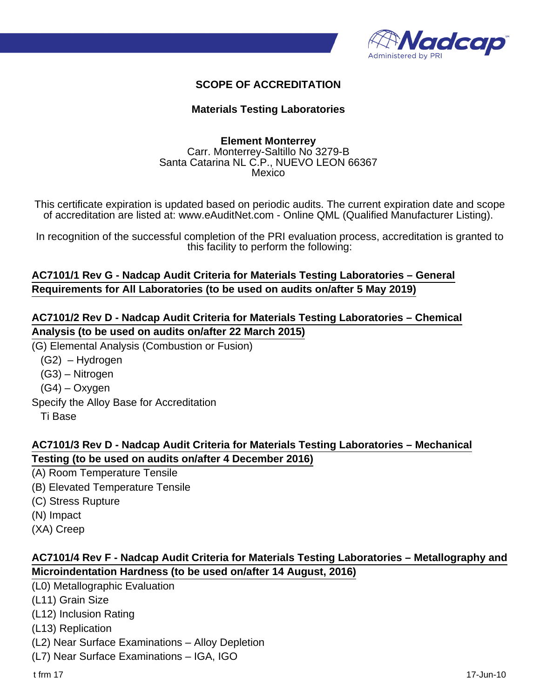

#### **SCOPE OF ACCREDITATION**

#### **Materials Testing Laboratories**

#### **Element Monterrey** Carr. Monterrey-Saltillo No 3279-B Santa Catarina NL C.P., NUEVO LEON 66367 Mexico

This certificate expiration is updated based on periodic audits. The current expiration date and scope of accreditation are listed at: www.eAuditNet.com - Online QML (Qualified Manufacturer Listing).

In recognition of the successful completion of the PRI evaluation process, accreditation is granted to this facility to perform the following:

## **AC7101/1 Rev G - Nadcap Audit Criteria for Materials Testing Laboratories – General Requirements for All Laboratories (to be used on audits on/after 5 May 2019)**

#### **AC7101/2 Rev D - Nadcap Audit Criteria for Materials Testing Laboratories – Chemical Analysis (to be used on audits on/after 22 March 2015)**

(G) Elemental Analysis (Combustion or Fusion)

 (G2) – Hydrogen (G3) – Nitrogen (G4) – Oxygen Specify the Alloy Base for Accreditation Ti Base

## **AC7101/3 Rev D - Nadcap Audit Criteria for Materials Testing Laboratories – Mechanical Testing (to be used on audits on/after 4 December 2016)**

(A) Room Temperature Tensile (B) Elevated Temperature Tensile (C) Stress Rupture (N) Impact (XA) Creep

#### **AC7101/4 Rev F - Nadcap Audit Criteria for Materials Testing Laboratories – Metallography and Microindentation Hardness (to be used on/after 14 August, 2016)**

(L0) Metallographic Evaluation

- (L11) Grain Size
- (L12) Inclusion Rating
- (L13) Replication
- (L2) Near Surface Examinations Alloy Depletion
- (L7) Near Surface Examinations IGA, IGO